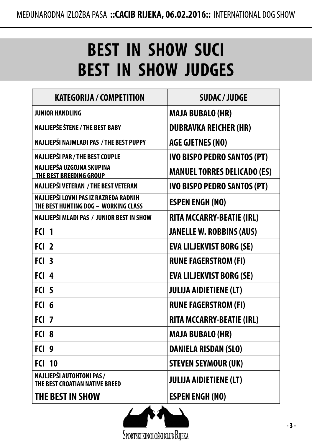## **BEST IN SHOW SUCI BEST IN SHOW JUDGES**

| <b>KATEGORIJA / COMPETITION</b>                                               | <b>SUDAC/JUDGE</b>                 |
|-------------------------------------------------------------------------------|------------------------------------|
| <b>JUNIOR HANDLING</b>                                                        | <b>MAJA BUBALO (HR)</b>            |
| <b>NAJLJEPŠE ŠTENE / THE BEST BABY</b>                                        | <b>DUBRAVKA REICHER (HR)</b>       |
| NAJLJEPŠI NAJMLAĐI PAS / THE BEST PUPPY                                       | <b>AGE GJETNES (NO)</b>            |
| NAJLJEPŠI PAR / THE BEST COUPLE                                               | <b>IVO BISPO PEDRO SANTOS (PT)</b> |
| NAJLJEPŠA UZGOJNA SKUPINA<br>THE BEST BREEDING GROUP                          | <b>MANUEL TORRES DELICADO (ES)</b> |
| NAJLJEPŠI VETERAN / THE BEST VETERAN                                          | <b>IVO BISPO PEDRO SANTOS (PT)</b> |
| NAJLJEPŠI LOVNI PAS IZ RAZREDA RADNIH<br>THE BEST HUNTING DOG - WORKING CLASS | <b>ESPEN ENGH (NO)</b>             |
| NAJLJEPŠI MLADI PAS / JUNIOR BEST IN SHOW                                     | <b>RITA MCCARRY-BEATIE (IRL)</b>   |
| $F(1)$ 1                                                                      | <b>JANELLE W. ROBBINS (AUS)</b>    |
| FCl <sub>2</sub>                                                              | <b>EVA LILJEKVIST BORG (SE)</b>    |
| FCI <sub>3</sub>                                                              | <b>RUNE FAGERSTROM (FI)</b>        |
| FCI <sub>4</sub>                                                              | <b>EVA LILJEKVIST BORG (SE)</b>    |
| FCI <sub>5</sub>                                                              | <b>JULIJA AIDIETIENE (LT)</b>      |
| FCI 6                                                                         | <b>RUNE FAGERSTROM (FI)</b>        |
| FCI <sub>7</sub>                                                              | <b>RITA MCCARRY-BEATIE (IRL)</b>   |
| FCI <sub>8</sub>                                                              | <b>MAJA BUBALO (HR)</b>            |
| FCI <sub>9</sub>                                                              | <b>DANIELA RISDAN (SLO)</b>        |
| <b>FCI 10</b>                                                                 | <b>STEVEN SEYMOUR (UK)</b>         |
| NAJLJEPŠI AUTOHTONI PAS/<br>THE BEST CROATIAN NATIVE BREED                    | <b>JULIJA AIDIETIENE (LT)</b>      |
| THE BEST IN SHOW                                                              | <b>ESPEN ENGH (NO)</b>             |

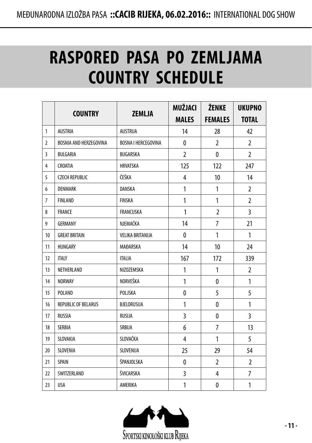### **RASPORED PASA PO ZEMLJAMA COUNTRY SCHEDULE**

|                |                            |                            | <b>MUŽJACI</b> | ŽENKE          | <b>UKUPNO</b>  |
|----------------|----------------------------|----------------------------|----------------|----------------|----------------|
|                | <b>COUNTRY</b>             | <b>ZEMLJA</b>              | <b>MALES</b>   | <b>FEMALES</b> | <b>TOTAL</b>   |
| 1              | <b>AUSTRIA</b>             | AUSTRIJA                   | 14             | 28             | 42             |
| 2              | BOSNIA AND HERZEGOVINA     | <b>BOSNA I HERCEGOVINA</b> | 0              | $\overline{2}$ | $\overline{2}$ |
| 3              | BULGARIA                   | BUGARSKA                   | $\overline{2}$ | 0              | $\overline{2}$ |
| 4              | CROATIA                    | <b>HRVATSKA</b>            | 125            | 122            | 247            |
| 5              | <b>CZECH REPUBLIC</b>      | ČEŠKA                      | 4              | 10             | 14             |
| 6              | <b>DENMARK</b>             | DANSKA                     | 1              | 1              | $\overline{2}$ |
| $\overline{7}$ | <b>FINLAND</b>             | <b>FINSKA</b>              | 1              | 1              | 2              |
| 8              | <b>FRANCE</b>              | <b>FRANCUSKA</b>           | $\mathbf{1}$   | $\overline{2}$ | 3              |
| 9              | GERMANY                    | NJEMAČKA                   | 14             | 7              | 21             |
| 10             | <b>GREAT BRITAIN</b>       | <b>VELIKA BRITANIJA</b>    | 0              | 1              | 1              |
| 11             | HUNGARY                    | MAĐARSKA                   | 14             | 10             | 24             |
| 12             | <b>ITALY</b>               | <b>ITALIA</b>              | 167            | 172            | 339            |
| 13             | NETHERLAND                 | NIZOZEMSKA                 | 1              | 1              | 2              |
| 14             | <b>NORWAY</b>              | NORVEŠKA                   | $\mathbf{1}$   | $\mathbf{0}$   | 1              |
| 15             | POLAND                     | POLJSKA                    | 0              | 5              | 5              |
| 16             | <b>REPUBLIC OF BELARUS</b> | BJELORUSIJA                | 1              | 0              | 1              |
| 17             | <b>RUSSIA</b>              | RUSIJA                     | 3              | $\mathbf{0}$   | 3              |
| 18             | <b>SERBIA</b>              | SRBIJA                     | 6              | $\overline{7}$ | 13             |
| 19             | SLOVAKIA                   | SLOVAČKA                   | 4              | 1              | 5              |
| 20             | SLOVENIA                   | SLOVENIJA                  | 25             | 29             | 54             |
| 21             | SPAIN                      | ŠPANJOLSKA                 | 0              | $\overline{2}$ | $\overline{2}$ |
| 22             | SWITZERLAND                | ŠVICARSKA                  | 3              | 4              | $\overline{7}$ |
| 23             | USA                        | AMERIKA                    | 1              | 0              | $\mathbf{1}$   |

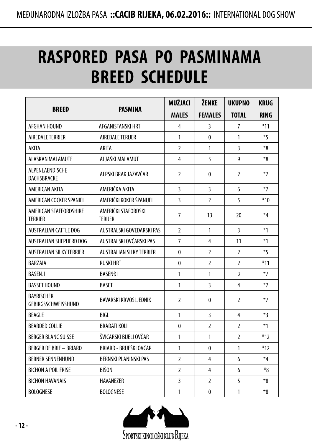# **RASPORED PASA PO PASMINAMA BREED SCHEDULE**

|                                          |                                       | MUŽJACI                 | ŽENKE          | <b>UKUPNO</b>  | <b>KRUG</b> |
|------------------------------------------|---------------------------------------|-------------------------|----------------|----------------|-------------|
| <b>BREED</b>                             | <b>PASMINA</b>                        | <b>MALES</b>            | <b>FEMALES</b> | <b>TOTAL</b>   | <b>RING</b> |
| AFGHAN HOUND                             | AFGANISTANSKI HRT                     | 4                       | 3              | 7              | $*11$       |
| AIREDALE TERRIER                         | AIREDALE TERIJER                      | $\mathbf{1}$            | 0              | $\mathbf{1}$   | $*5$        |
| AKITA                                    | AKITA                                 | $\overline{2}$          | 1              | 3              | *8          |
| <b>ALASKAN MALAMUTE</b>                  | ALJAŠKI MALAMUT                       | $\overline{\mathbf{4}}$ | 5              | 9              | $*_{8}$     |
| ALPENLAENDISCHE<br>DACHSBRACKE           | ALPSKI BRAK JAZAVČAR                  | $\overline{2}$          | 0              | $\overline{2}$ | $*7$        |
| AMERICAN AKITA                           | AMERIČKA AKITA                        | 3                       | $\overline{3}$ | 6              | $*7$        |
| AMERICAN COCKER SPANIEL                  | AMERIČKI KOKER ŠPANIJEL               | $\overline{3}$          | $\overline{2}$ | 5              | $*10$       |
| AMERICAN STAFFORDSHIRE<br><b>TERRIER</b> | AMERIČKI STAFORDSKI<br><b>TERIJER</b> | $\overline{7}$          | 13             | 20             | $*_{4}$     |
| <b>AUSTRALIAN CATTLE DOG</b>             | AUSTRALSKI GOVEDARSKI PAS             |                         | 1              | 3              | $*1$        |
| <b>AUSTRALIAN SHEPHERD DOG</b>           | AUSTRALSKI OVČARSKI PAS               |                         | 4              | 11             | $*1$        |
| <b>AUSTRALIAN SILKY TERRIER</b>          | <b>AUSTRALIAN SILKY TERRIER</b>       | $\mathbf{0}$            | $\overline{2}$ | $\overline{2}$ | $*5$        |
| <b>BARZAIA</b>                           | <b>RUSKI HRT</b>                      | $\mathbf{0}$            | $\overline{2}$ | $\overline{2}$ | $*11$       |
| <b>BASENJI</b>                           | <b>BASENDI</b>                        | $\mathbf{1}$            | 1              | $\overline{2}$ | $*7$        |
| <b>BASSET HOUND</b>                      | <b>BASET</b>                          | $\mathbf{1}$            | 3              | 4              | $*7$        |
| <b>BAYRISCHER</b><br>GEBIRGSSCHWEISSHUND | <b>BAVARSKI KRVOSLJEDNIK</b>          | $\overline{2}$          | $\mathbf{0}$   | $\overline{2}$ | $*7$        |
| <b>BEAGLE</b>                            | BIGI                                  | $\mathbf{1}$            | 3              | 4              | $*3$        |
| <b>BEARDED COLLIE</b>                    | <b>BRADATI KOLI</b>                   | $\mathbf{0}$            | $\overline{2}$ | $\overline{2}$ | $*1$        |
| <b>BERGER BLANC SUISSE</b>               | ŠVICARSKI BIJELI OVČAR                | $\mathbf{1}$            | 1              | $\overline{2}$ | $*12$       |
| <b>BERGER DE BRIE - BRIARD</b>           | BRIARD - BRIJEŠKI OVČAR               |                         | 0              | $\mathbf{1}$   | $*12$       |
| <b>BERNER SENNENHUND</b>                 | <b>BERNSKI PLANINSKI PAS</b>          | $\overline{2}$          | 4              | 6              | $*_{4}$     |
| <b>BICHON A POIL FRISE</b>               | <b>BIŠON</b>                          | $\overline{2}$          | 4              | 6              | *8          |
| <b>BICHON HAVANAIS</b>                   | <b>HAVANEZER</b>                      | $\overline{3}$          | $\overline{2}$ | 5              | *8          |
| <b>BOLOGNESE</b>                         | <b>BOLOGNESE</b>                      | 1                       | $\mathbf{0}$   | $\mathbf{1}$   | $*_{8}$     |

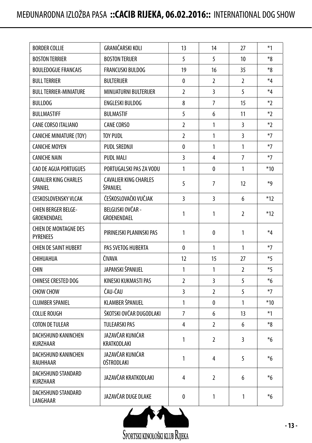| <b>BORDER COLLIE</b>                            | GRANIČARSKI KOLI                         | 13             | 14             | 27             | $*1$    |
|-------------------------------------------------|------------------------------------------|----------------|----------------|----------------|---------|
| <b>BOSTON TERRIER</b>                           | <b>BOSTON TERIJER</b>                    | 5              | 5              | 10             | *8      |
| <b>BOULEDOGUE FRANCAIS</b>                      | <b>FRANCUSKI BULDOG</b>                  | 19             | 16             | 35             | *8      |
| <b>BULL TERRIER</b>                             | <b>BULTERIJER</b>                        | 0              | 2              | $\overline{2}$ | $*_{4}$ |
| <b>BULL TERRIER-MINIATURE</b>                   | MINIJATURNI BULTERIJER                   | $\overline{2}$ | 3              | 5              | $*_{4}$ |
| <b>BULLDOG</b>                                  | <b>ENGLESKI BULDOG</b>                   | 8              | $\overline{7}$ | 15             | $*2$    |
| <b>BULLMASTIFF</b>                              | <b>BULMASTIF</b>                         | 5              | 6              | 11             | $*2$    |
| <b>CANE CORSO ITALIANO</b>                      | <b>CANE CORSO</b>                        | $\overline{2}$ | $\mathbf{1}$   | 3              | $*2$    |
| <b>CANICHE MINIATURE (TOY)</b>                  | <b>TOY PUDL</b>                          | $\overline{2}$ | $\mathbf{1}$   | 3              | $*7$    |
| <b>CANICHE MOYEN</b>                            | PUDL SREDNJI                             | $\mathbf{0}$   | $\mathbf{1}$   | 1              | $*7$    |
| <b>CANICHE NAIN</b>                             | <b>PUDL MALI</b>                         | $\overline{3}$ | 4              | $\overline{7}$ | $*7$    |
| CAO DE AGUA PORTUGUES                           | PORTUGALSKI PAS ZA VODU                  | $\mathbf{1}$   | 0              | 1              | $*10$   |
| <b>CAVALIER KING CHARLES</b><br><b>SPANIEL</b>  | <b>CAVALIER KING CHARLES</b><br>ŠPANIJEL | 5              | 7              | 12             | *д      |
| <b>CESKOSLOVENSKY VLCAK</b>                     | ČEŠKOSLOVAČKI VUČJAK                     | $\overline{3}$ | 3              | 6              | $*12$   |
| <b>CHIEN BERGER BELGE-</b><br>GROENENDAEL       | BELGIJSKI OVČAR -<br>GROENENDAEL         | $\mathbf{1}$   | 1              | 2              | $*12$   |
| <b>CHIEN DE MONTAGNE DES</b><br><b>PYRENEES</b> | PIRINEJSKI PLANINSKI PAS                 | $\mathbf{1}$   | 0              | 1              | $*_{4}$ |
| <b>CHIEN DE SAINT HUBERT</b>                    | PAS SVETOG HUBERTA                       | 0              | 1              | 1              | $*7$    |
| <b>CHIHUAHUA</b>                                | ČIVAVA                                   | 12             | 15             | 27             | $*5$    |
| <b>CHIN</b>                                     | JAPANSKI ŠPANIJEL                        | $\mathbf{1}$   | 1              | $\overline{2}$ | $*5$    |
| <b>CHINESE CRESTED DOG</b>                      | KINESKI KUKMASTI PAS                     | $\overline{2}$ | 3              | 5              | $*6$    |
| <b>CHOW CHOW</b>                                | ČAU-ČAU                                  | 3              | 2              | 5              | $*7$    |
| <b>CLUMBER SPANIEL</b>                          | KLAMBER ŠPANIJEL                         | $\mathbf{1}$   | 0              | 1              | $*10$   |
| <b>COLLIE ROUGH</b>                             | ŠKOTSKI OVČAR DUGODLAKI                  | $\overline{7}$ | 6              | 13             | $*1$    |
| <b>COTON DE TULEAR</b>                          | <b>TULEARSKI PAS</b>                     | 4              | $\overline{2}$ | 6              | $*_{8}$ |
| DACHSHUND KANINCHEN<br>KURZHAAR                 | JAZAVČAR KUNIĆAR<br>KRATKODLAKI          | $\mathbf{1}$   | 2              | 3              | $*6$    |
| DACHSHUND KANINCHEN<br>RAUHHAAR                 | JAZAVČAR KUNIĆAR<br>OŠTRODLAKI           | $\mathbf{1}$   | 4              | 5              | $*6$    |
| DACHSHUND STANDARD<br><b>KURZHAAR</b>           | JAZAVČAR KRATKODLAKI                     | 4              | $\overline{2}$ | 6              | $*_{6}$ |
| <b>DACHSHUND STANDARD</b><br>LANGHAAR           | JAZAVČAR DUGE DLAKE                      | 0              | 1              | 1              | $*_{6}$ |

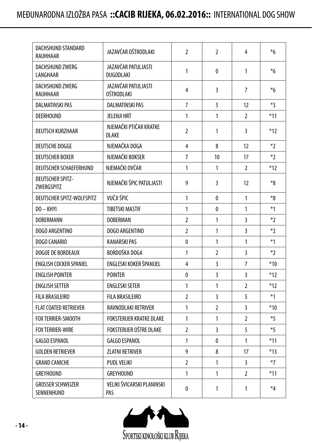| DACHSHUND STANDARD<br>RAUHHAAR                 | JAZAVČAR OŠTRODLAKI                     | 2              | $\overline{2}$ | 4                 | $\boldsymbol{*}6$ |
|------------------------------------------------|-----------------------------------------|----------------|----------------|-------------------|-------------------|
| DACHSHUND ZWERG<br>LANGHAAR                    | JAZAVČAR PATULJASTI<br><b>DUGODLAKI</b> | $\mathbf{1}$   | $\mathbf{0}$   | 1                 | $*_{6}$           |
| DACHSHUND ZWERG<br>RAUHHAAR                    | JAZAVČAR PATULJASTI<br>OŠTRODLAKI       | 4              | 3              | $\overline{7}$    | $*_{6}$           |
| <b>DALMATINSKI PAS</b>                         | <b>DALMATINSKI PAS</b>                  | 7              | 5              | 12                | $*3$              |
| <b>DEERHOUND</b>                               | <b>JELENJI HRT</b>                      | $\mathbf{1}$   | $\mathbf{1}$   | $\overline{2}$    | $*11$             |
| DEUTSCH KURZHAAR                               | NJEMAČKI PTIČAR KRATKE<br><b>DLAKE</b>  | 2              | 1              | 3                 | $*12$             |
| <b>DEUTSCHE DOGGE</b>                          | NJEMAČKA DOGA                           | 4              | 8              | 12                | $*$               |
| <b>DEUTSCHER BOXER</b>                         | NJEMAČKI BOKSER                         | $\overline{7}$ | 10             | 17                | $*2$              |
| <b>DEUTSCHER SCHAEFERHUND</b>                  | NJEMAČKI OVČAR                          | $\mathbf{1}$   | $\mathbf{1}$   | 2                 | $*12$             |
| <b>DEUTSCHER SPITZ-</b><br>ZWERGSPITZ          | NJEMAČKI ŠPIC PATULJASTI                | 9              | 3              | $12 \overline{ }$ | $*_{8}$           |
| VUČJI ŠPIC<br><b>DEUTSCHER SPITZ-WOLFSPITZ</b> |                                         | $\mathbf{1}$   | 0              | 1                 | $*_{8}$           |
| $DO - KHYI$                                    | <b>TIBETSKI MASTIF</b>                  | $\mathbf{1}$   | 0              | 1                 | $*1$              |
| <b>DOBERMANN</b>                               | <b>DOBERMAN</b>                         | 2              | 1              | 3                 | $*2$              |
| DOGO ARGENTINO                                 | DOGO ARGENTINO                          | $\overline{2}$ | 1              | 3                 | $*2$              |
| DOGO CANARIO                                   | <b>KANARSKI PAS</b>                     | 0              | $\mathbf{1}$   | 1                 | $*1$              |
| <b>DOGUE DE BORDEAUX</b>                       | BORDOŠKA DOGA                           | $\mathbf{1}$   | $\overline{2}$ | 3                 | $*2$              |
| <b>ENGLISH COCKER SPANIEL</b>                  | ENGLESKI KOKER ŠPANIJEL                 | 4              | 3              | $\overline{7}$    | $*10$             |
| <b>ENGLISH POINTER</b>                         | <b>POINTER</b>                          | 0              | 3              | 3                 | $*12$             |
| <b>ENGLISH SETTER</b>                          | <b>ENGLESKI SETER</b>                   | 1              | 1              | 2                 | $*12$             |
| <b>FILA BRASILEIRO</b>                         | <b>FILA BRASILEIRO</b>                  | $\overline{2}$ | 3              | 5                 | $*1$              |
| <b>FLAT COATED RETRIEVER</b>                   | RAVNODLAKI RETRIVER                     | $\mathbf{1}$   | $\overline{2}$ | 3                 | $*10$             |
| <b>FOX TERRIER-SMOOTH</b>                      | <b>FOKSTERIJER KRATKE DLAKE</b>         | $\mathbf{1}$   | $\mathbf{1}$   | $\overline{2}$    | $*5$              |
| <b>FOX TERRIER-WIRE</b>                        | FOKSTERIJER OŠTRE DLAKE                 | 2              | 3              | 5                 | $*_5$             |
| <b>GALGO ESPANOL</b>                           | <b>GALGO ESPANOL</b>                    | 1              | $\mathbf{0}$   | 1                 | $*11$             |
| <b>GOLDEN RETRIEVER</b>                        | <b>ZLATNI RETRIVER</b>                  | 9              | 8              | 17                | $*13$             |
| <b>GRAND CANICHE</b>                           | <b>PUDL VELIKI</b>                      | $\overline{2}$ | $\mathbf{1}$   | $\overline{3}$    | $*7$              |
| <b>GREYHOUND</b>                               | <b>GREYHOUND</b>                        | $\mathbf{1}$   | $\mathbf{1}$   | $\overline{2}$    | $*11$             |
| <b>GROSSER SCHWEIZER</b><br>SENNENHUND         | VELIKI ŠVICARSKI PLANINSKI<br>PAS       | 0              | 1              | $\mathbf{1}$      | $*_{4}$           |

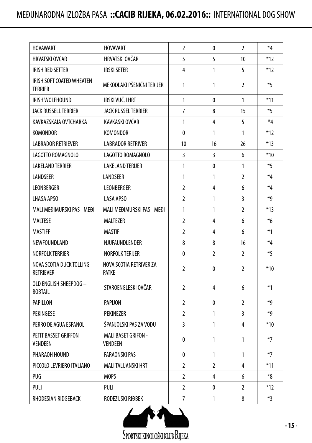| <b>HOVAWART</b>                                                                  | <b>HOVAVART</b>                              | $\overline{2}$ | 0              | $\overline{2}$ | $*_{4}$ |
|----------------------------------------------------------------------------------|----------------------------------------------|----------------|----------------|----------------|---------|
| HRVATSKI OVČAR                                                                   | HRVATSKI OVČAR                               | 5              | 5              | 10             | $*12$   |
| IRISH RED SETTER                                                                 | <b>IRSKI SETER</b>                           | 4              | 1              | 5              | $*12$   |
| IRISH SOFT COATED WHEATEN<br><b>TERRIER</b>                                      | MEKODLAKI PŠENIČNI TERIJER                   | $\mathbf{1}$   | 1              | $\overline{2}$ | $*5$    |
| IRISH WOLFHOUND                                                                  | IRSKI VUČJI HRT                              | $\mathbf{1}$   | 0              | 1              | $*11$   |
| <b>JACK RUSSELL TERRIER</b>                                                      | <b>JACK RUSSEL TERRIER</b>                   | $\overline{7}$ | 8              | 15             | $*5$    |
| KAVKAZSKAIA OVTCHARKA                                                            | KAVKASKI OVČAR                               | $\mathbf{1}$   | 4              | 5              | $*_{4}$ |
| <b>KOMONDOR</b>                                                                  | <b>KOMONDOR</b>                              | $\mathbf{0}$   | $\mathbf{1}$   | $\mathbf{1}$   | $*12$   |
| <b>LABRADOR RETRIEVER</b>                                                        | <b>LABRADOR RETRIVER</b>                     | 10             | 16             | 26             | $*13$   |
| LAGOTTO ROMAGNOLO                                                                | LAGOTTO ROMAGNOLO                            | 3              | 3              | 6              | $*10$   |
| <b>LAKELAND TERRIER</b>                                                          | <b>LAKELAND TERIJER</b>                      | $\mathbf{1}$   | 0              | 1              | $*5$    |
| LANDSEER                                                                         | LANDSEER                                     | $\mathbf{1}$   | 1              | $\overline{2}$ | $*_{4}$ |
| LEONBERGER                                                                       | LEONBERGER                                   | $\overline{2}$ | 4              | 6              | $*_{4}$ |
| <b>LHASA APSO</b>                                                                | <b>LASA APSO</b>                             | $\overline{2}$ | $\mathbf{1}$   | 3              | *д      |
| MALI MEĐIMURSKI PAS - MEĐI                                                       | MALI MEĐIMURSKI PAS - MEĐI                   |                | 1              | $\overline{2}$ | $*13$   |
| <b>MALTESE</b>                                                                   | <b>MALTEZER</b>                              |                | 4              | 6              | $*6$    |
| <b>MASTIFF</b>                                                                   | <b>MASTIF</b>                                | $\mathfrak{p}$ | 4              | 6              | $*1$    |
| NEWFOUNDLAND                                                                     | NJUFAUNDLENDER                               | 8              | 8              | 16             | $*_{4}$ |
| <b>NORFOLK TERRIER</b>                                                           | <b>NORFOLK TERIJER</b>                       | $\mathbf{0}$   | $\overline{2}$ | $\overline{2}$ | $*5$    |
| NOVA SCOTIA DUCK TOLLING<br>NOVA SCOTIA RETRIVER ZA<br><b>RETRIEVER</b><br>PATKE |                                              | $\overline{2}$ | 0              | $\overline{2}$ | $*10$   |
| OLD ENGLISH SHEEPDOG -<br><b>BOBTAIL</b>                                         | STAROENGLESKI OVČAR                          | $\overline{2}$ | 4              | 6              | $*1$    |
| PAPILLON                                                                         | PAPIJON                                      | $\overline{2}$ | 0              | $\overline{2}$ | *д      |
| PEKINGESE                                                                        | <b>PEKINEZER</b>                             | $\overline{2}$ | 1              | 3              | ∗q      |
| PERRO DE AGUA ESPANOL                                                            | ŠPANJOLSKI PAS ZA VODU                       | 3              | $\mathbf{1}$   | 4              | $*10$   |
| PETIT BASSET GRIFFON<br><b>VENDEEN</b>                                           | <b>MALI BASET GRIFON -</b><br><b>VENDEEN</b> | 0              | 1              | 1              | $*7$    |
| PHARAOH HOUND                                                                    | <b>FARAONSKI PAS</b>                         | $\mathbf{0}$   | 1              | 1              | $*7$    |
| PICCOLO LEVRIERO ITALIANO                                                        | <b>MALI TALIJANSKI HRT</b>                   | $\overline{2}$ | $\overline{2}$ | 4              | $*11$   |
| PUG                                                                              | <b>MOPS</b>                                  | $\overline{2}$ | 4              | 6              | $8*$    |
| PULI                                                                             | PULI                                         | $\overline{2}$ | 0              | 2              | $*12$   |
| RHODESIAN RIDGEBACK                                                              | RODEZIJSKI RIĐBEK                            | $\overline{7}$ | $\mathbf{1}$   | 8              | $*3$    |

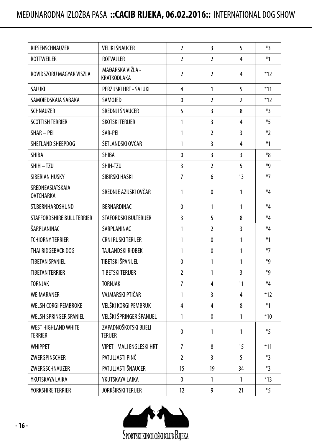| RIESENSCHNAUZER                              | VELIKI ŠNAUCER                          |                | 3              | 5                       | $*3$    |
|----------------------------------------------|-----------------------------------------|----------------|----------------|-------------------------|---------|
| <b>ROTTWEILER</b>                            | <b>ROTVAJLER</b>                        |                | $\overline{2}$ | 4                       | $*1$    |
| ROVIDSZORU MAGYAR VISZLA                     | MAĐARSKA VIŽLA -<br>KRATKODLAKA         | $\overline{2}$ | $\overline{2}$ | 4                       | $*12$   |
| SALUKI                                       | PERZIJSKI HRT - SALUKI                  | 4              | $\mathbf{1}$   | 5                       | $*11$   |
| SAMOIFDSKAIA SABAKA                          | SAMOJED                                 | $\mathbf{0}$   | 2              | $\mathfrak{p}$          | $*12$   |
| <b>SCHNAUZER</b>                             | SREDNJI ŠNAUCER                         | 5              | 3              | 8                       | $*3$    |
| <b>SCOTTISH TERRIER</b>                      | ŠKOTSKI TERIJER                         | 1              | $\overline{3}$ | 4                       | $*5$    |
| SHAR-PFI                                     | ŠAR-PFI                                 | $\mathbf{1}$   | $\overline{2}$ | $\overline{\mathbf{3}}$ | $*$     |
| SHETLAND SHEEPDOG                            | ŠETLANDSKI OVČAR                        | 1              | 3              | 4                       | $*1$    |
| <b>SHIBA</b>                                 | <b>SHIBA</b>                            | 0              | 3              | 3                       | $*_{8}$ |
| SHIH-TZU                                     | SHIH-TZU                                | 3              | $\overline{2}$ | 5                       | $*9$    |
| SIBERIAN HUSKY                               | SIBIRSKI HASKI                          | $\overline{7}$ | 6              | 13                      | $*7$    |
| SREDNEASIATSKAIA<br><b>OVTCHARKA</b>         | SREDNJE AZIJSKI OVČAR                   | 1              | 0              | 1                       | $*_{4}$ |
| ST.BERNHARDSHUND                             | BERNARDINAC                             |                | $\mathbf{1}$   | 1                       | $*_{4}$ |
| STAFFORDSHIRE BULL TERRIER                   | STAFORDSKI BULTERIJER                   |                | 5              | 8                       | $*_{4}$ |
| ŠARPLANINAC                                  | ŠARPLANINAC                             | $\mathbf{1}$   | $\overline{2}$ | 3                       | $*_{4}$ |
| <b>TCHIORNY TERRIER</b>                      | CRNI RUSKI TERIJER                      | $\mathbf{1}$   | 0              | 1                       | $*1$    |
| THAI RIDGEBACK DOG                           | TAJLANDSKI RIĐBEK                       | $\mathbf{1}$   | 0              | 1                       | $*7$    |
| <b>TIBETAN SPANIEL</b>                       | TIBETSKI ŠPANIJEL                       | 0              | $\mathbf{1}$   | 1                       | ∗q      |
| TIBFTAN TFRRIFR                              | <b>TIBETSKI TERIJER</b>                 | $\mathfrak{p}$ | $\mathbf{1}$   | 3                       | *д      |
| <b>TORNJAK</b>                               | <b>TORNJAK</b>                          | $\overline{7}$ | 4              | 11                      | $*_{4}$ |
| WEIMARANER                                   | VAJMARSKI PTIČAR                        | 1              | $\overline{3}$ | 4                       | $*12$   |
| <b>WELSH CORGI PEMBROKE</b>                  | VELŠKI KORGI PEMBRUK                    | 4              | 4              | 8                       | $*1$    |
| WELSH SPRINGER SPANIEL                       | VELŠKI ŠPRINGER ŠPANIJEL                | 1              | 0              | 1                       | $*10$   |
| <b>WEST HIGHLAND WHITE</b><br><b>TERRIER</b> | ZAPADNOŠKOTSKI BIJELI<br><b>TERIJER</b> | 0              | 1              | 1                       | $*5$    |
| <b>WHIPPET</b>                               | <b>VIPET - MALI ENGLESKI HRT</b>        | $\overline{7}$ | 8              | 15                      | $*11$   |
| ZWERGPINSCHER                                | PATULJASTI PINČ                         | $\overline{2}$ | 3              | 5                       | $*3$    |
| ZWERGSCHNAUZER                               | PATULJASTI ŠNAUCER                      | 15             | 19             | 34                      | $*_3$   |
| YKUTSKAYA LAIKA                              | YKUTSKAYA LAIKA                         | $\mathbf{0}$   | 1              | $\mathbf{1}$            | $*13$   |
| <b>YORKSHIRE TERRIER</b>                     | JORKŠIRSKI TERIJER                      | 12             | 9              | 21                      | $*5$    |

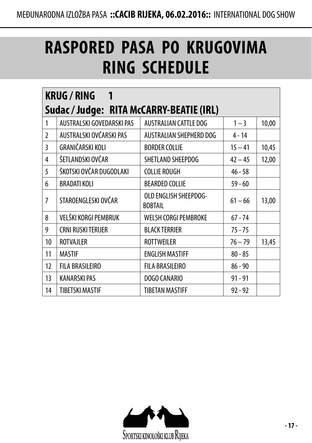# **RASPORED PASA PO KRUGOVIMA RING SCHEDULE**

|                | <b>KRUG/RING</b><br>1                    |                                         |           |       |  |  |
|----------------|------------------------------------------|-----------------------------------------|-----------|-------|--|--|
|                | Sudac / Judge: RITA McCARRY-BEATIE (IRL) |                                         |           |       |  |  |
| 1              | AUSTRALSKI GOVEDARSKI PAS                | <b>AUSTRALIAN CATTLE DOG</b>            | $1 - 3$   | 10,00 |  |  |
| $\mathfrak{p}$ | AUSTRALSKI OVČARSKI PAS                  | AUSTRALIAN SHEPHERD DOG                 | $4 - 14$  |       |  |  |
| 3              | GRANIČARSKI KOLI                         | <b>BORDER COLLIE</b>                    | $15 - 41$ | 10,45 |  |  |
| 4              | ŠETLANDSKI OVČAR                         | SHETLAND SHEEPDOG                       | $42 - 45$ | 12,00 |  |  |
| 5              | ŠKOTSKI OVČAR DUGODLAKI                  | <b>COLLIE ROUGH</b>                     | $46 - 58$ |       |  |  |
| 6              | <b>BRADATI KOLI</b>                      | <b>BEARDED COLLIE</b>                   | $59 - 60$ |       |  |  |
| $\overline{7}$ | STAROENGLESKI OVČAR                      | OLD ENGLISH SHEEPDOG-<br><b>BOBTAIL</b> | $61 - 66$ | 13,00 |  |  |
| 8              | VELŠKI KORGI PEMBRUK                     | <b>WELSH CORGI PEMBROKE</b>             | $67 - 74$ |       |  |  |
| 9              | <b>CRNI RUSKI TERIJER</b>                | <b>BLACK TERRIER</b>                    | $75 - 75$ |       |  |  |
| 10             | <b>ROTVAJLER</b>                         | <b>ROTTWEILER</b>                       | $76 - 79$ | 13,45 |  |  |
| 11             | <b>MASTIF</b>                            | <b>ENGLISH MASTIFF</b>                  | $80 - 85$ |       |  |  |
| 12             | <b>FILA BRASILEIRO</b>                   | <b>FILA BRASILEIRO</b>                  | $86 - 90$ |       |  |  |
| 13             | <b>KANARSKI PAS</b>                      | DOGO CANARIO                            | $91 - 91$ |       |  |  |
| 14             | <b>TIBETSKI MASTIF</b>                   | <b>TIBETAN MASTIFF</b>                  | $92 - 92$ |       |  |  |

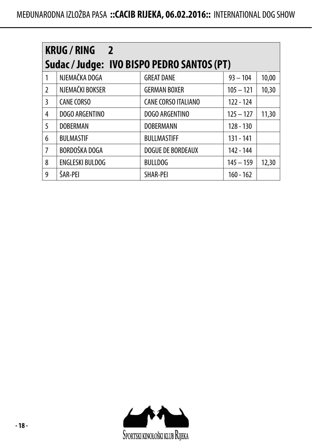|                | <b>KRUG/RING</b><br>$\overline{\phantom{0}}$ |                            |             |       |  |  |
|----------------|----------------------------------------------|----------------------------|-------------|-------|--|--|
|                | Sudac / Judge: IVO BISPO PEDRO SANTOS (PT)   |                            |             |       |  |  |
| 1              | NJEMAČKA DOGA                                | <b>GREAT DANE</b>          | $93 - 104$  | 10,00 |  |  |
| $\mathfrak{p}$ | NJEMAČKI BOKSER                              | <b>GERMAN BOXER</b>        | $105 - 121$ | 10,30 |  |  |
| 3              | <b>CANE CORSO</b>                            | <b>CANE CORSO ITALIANO</b> | $122 - 124$ |       |  |  |
| 4              | DOGO ARGENTINO                               | DOGO ARGENTINO             | $125 - 127$ | 11,30 |  |  |
| 5              | <b>DOBERMAN</b>                              | <b>DOBERMANN</b>           | $128 - 130$ |       |  |  |
| 6              | <b>BULMASTIF</b>                             | <b>BULLMASTIFF</b>         | 131 - 141   |       |  |  |
| 7              | BORDOŠKA DOGA                                | DOGUE DE BORDEAUX          | 142 - 144   |       |  |  |
| 8              | <b>ENGLESKI BULDOG</b>                       | <b>BULLDOG</b>             | $145 - 159$ | 12,30 |  |  |
| 9              | ŠAR-PEI                                      | SHAR-PEI                   | $160 - 162$ |       |  |  |

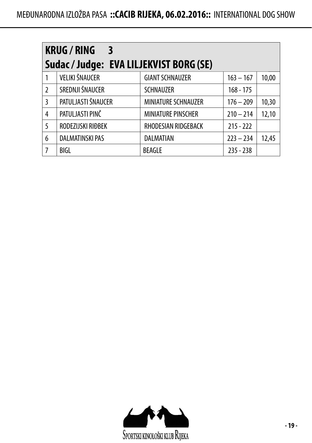| <b>KRUG / RING</b><br>$\overline{\phantom{a}}$ 3<br>Sudac / Judge: EVA LILJEKVIST BORG (SE) |                        |                           |             |       |  |
|---------------------------------------------------------------------------------------------|------------------------|---------------------------|-------------|-------|--|
|                                                                                             | VELIKI ŠNAUCER         | <b>GIANT SCHNAUZER</b>    | $163 - 167$ | 10,00 |  |
| $\mathfrak{I}$                                                                              | SREDNJI ŠNAUCER        | SCHNAUZER                 | $168 - 175$ |       |  |
| 3                                                                                           | PATULJASTI ŠNAUCER     | MINIATURE SCHNAUZER       | $176 - 209$ | 10,30 |  |
| 4                                                                                           | PATULJASTI PINČ        | <b>MINIATURE PINSCHER</b> | $210 - 214$ | 12,10 |  |
| 5                                                                                           | RODEZIJSKI RIĐBEK      | RHODESIAN RIDGEBACK       | $215 - 222$ |       |  |
| 6                                                                                           | <b>DALMATINSKI PAS</b> | DALMATIAN                 | $223 - 234$ | 12,45 |  |
| 7                                                                                           | <b>BIGL</b>            | <b>BEAGLE</b>             | $235 - 238$ |       |  |

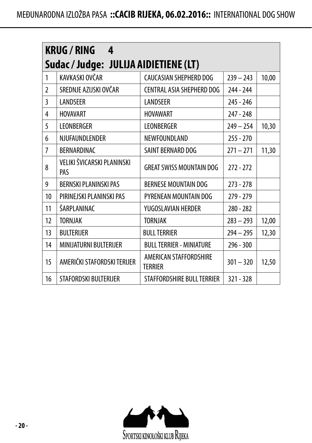|                | <b>KRUG/RING</b><br>4                 |                                          |             |       |  |  |
|----------------|---------------------------------------|------------------------------------------|-------------|-------|--|--|
|                | Sudac / Judge: JULIJA AIDIETIENE (LT) |                                          |             |       |  |  |
| 1              | KAVKASKI OVČAR                        | CAUCASIAN SHEPHERD DOG                   | $239 - 243$ | 10,00 |  |  |
| $\overline{2}$ | SREDNJE AZIJSKI OVČAR                 | CENTRAL ASIA SHEPHERD DOG                | 244 - 244   |       |  |  |
| 3              | LANDSEER                              | <b>LANDSEER</b>                          | 245 - 246   |       |  |  |
| 4              | <b>HOVAVART</b>                       | <b>HOVAWART</b>                          | 247 - 248   |       |  |  |
| 5              | <b>LEONBERGER</b>                     | LEONBERGER                               | $249 - 254$ | 10,30 |  |  |
| 6              | NJUFAUNDLENDER                        | NEWFOUNDLAND                             | $255 - 270$ |       |  |  |
| 7              | BERNARDINAC                           | SAINT BERNARD DOG                        | $271 - 271$ | 11,30 |  |  |
| 8              | VELIKI ŠVICARSKI PLANINSKI<br>PAS     | <b>GREAT SWISS MOUNTAIN DOG</b>          | $272 - 272$ |       |  |  |
| 9              | <b>BERNSKI PLANINSKI PAS</b>          | <b>BERNESE MOUNTAIN DOG</b>              | $273 - 278$ |       |  |  |
| 10             | PIRINEJSKI PLANINSKI PAS              | PYRENEAN MOUNTAIN DOG                    | $279 - 279$ |       |  |  |
| 11             | ŠARPLANINAC                           | YUGOSLAVIAN HERDER                       | 280 - 282   |       |  |  |
| 12             | <b>TORNJAK</b>                        | <b>TORNJAK</b>                           | $283 - 293$ | 12,00 |  |  |
| 13             | <b>BULTERIJER</b>                     | <b>BULL TERRIER</b>                      | $294 - 295$ | 12,30 |  |  |
| 14             | MINIJATURNI BULTERIJER                | <b>BULL TERRIER - MINIATURE</b>          | $296 - 300$ |       |  |  |
| 15             | AMERIČKI STAFORDSKI TERIJER           | AMERICAN STAFFORDSHIRE<br><b>TERRIER</b> | $301 - 320$ | 12,50 |  |  |
| 16             | STAFORDSKI BULTERIJER                 | STAFFORDSHIRE BULL TERRIER               | $321 - 328$ |       |  |  |

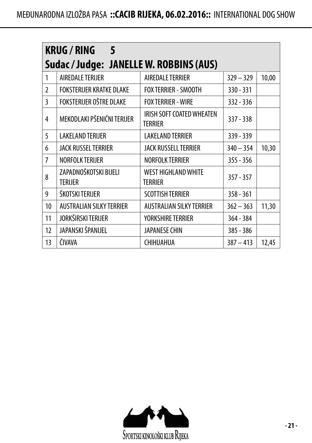| <b>KRUG / RING</b><br>-5 |                                         |                                       |             |       |  |  |  |
|--------------------------|-----------------------------------------|---------------------------------------|-------------|-------|--|--|--|
|                          | Sudac / Judge: JANELLE W. ROBBINS (AUS) |                                       |             |       |  |  |  |
| 1                        | AIREDALE TERIJER                        | AIREDALE TERRIER                      | $329 - 329$ | 10,00 |  |  |  |
| $\mathfrak{p}$           | FOKSTERIJER KRATKE DLAKE                | <b>FOX TERRIER - SMOOTH</b>           | 330 - 331   |       |  |  |  |
| 3                        | FOKSTERIJER OŠTRE DLAKE                 | <b>FOX TERRIER - WIRE</b>             | $332 - 336$ |       |  |  |  |
| 4                        | MEKODLAKI PŠENIČNI TERIJER              | IRISH SOFT COATED WHEATEN<br>TERRIER  | $337 - 338$ |       |  |  |  |
| 5                        | <b>LAKELAND TERIJER</b>                 | <b>LAKELAND TERRIER</b>               | 339 - 339   |       |  |  |  |
| 6                        | JACK RUSSEL TERRIER                     | JACK RUSSELL TERRIER                  | $340 - 354$ | 10,30 |  |  |  |
| 7                        | <b>NORFOLK TERIJER</b>                  | <b>NORFOLK TERRIER</b>                | $355 - 356$ |       |  |  |  |
| 8                        | ZAPADNOŠKOTSKI BIJELI<br><b>TERIJER</b> | <b>WEST HIGHLAND WHITE</b><br>TERRIER | $357 - 357$ |       |  |  |  |
| 9                        | ŠKOTSKI TERIJER                         | <b>SCOTTISH TERRIER</b>               | $358 - 361$ |       |  |  |  |
| 10                       | <b>AUSTRALIAN SILKY TERRIER</b>         | <b>AUSTRALIAN SILKY TERRIER</b>       | $362 - 363$ | 11,30 |  |  |  |
| 11                       | JORKŠIRSKI TERIJER                      | YORKSHIRE TERRIER                     | 364 - 384   |       |  |  |  |
| 12                       | JAPANSKI ŠPANIJEL                       | JAPANESE CHIN                         | 385 - 386   |       |  |  |  |
| 13                       | ČIVAVA                                  | CHIHUAHUA                             | $387 - 413$ | 12,45 |  |  |  |

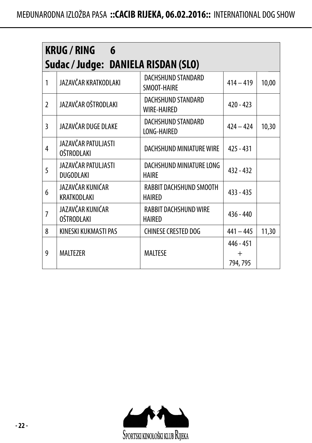|                | <b>KRUG / RING</b><br>6<br>Sudac / Judge: DANIELA RISDAN (SLO) |                                          |                                 |       |  |
|----------------|----------------------------------------------------------------|------------------------------------------|---------------------------------|-------|--|
| 1              | JAZAVČAR KRATKODLAKI                                           | DACHSHUND STANDARD<br>SMOOT-HAIRE        | $414 - 419$                     | 10,00 |  |
| $\overline{2}$ | JAZAVČAR OŠTRODLAKI                                            | DACHSHUND STANDARD<br><b>WIRE-HAIRED</b> | $420 - 423$                     |       |  |
| 3              | JAZAVČAR DUGE DLAKE                                            | DACHSHUND STANDARD<br>LONG-HAIRED        | $424 - 424$                     | 10,30 |  |
| 4              | JAZAVČAR PATULJASTI<br><b>OŠTRODLAKI</b>                       | DACHSHUND MINIATURE WIRE                 | $425 - 431$                     |       |  |
| 5              | JAZAVČAR PATULJASTI<br>DUGODLAKI                               | DACHSHUND MINIATURE LONG<br><b>HAIRE</b> | $432 - 432$                     |       |  |
| 6              | JAZAVČAR KUNIĆAR<br>KRATKODLAKI                                | RABBIT DACHSHUND SMOOTH<br><b>HAIRED</b> | $433 - 435$                     |       |  |
| 7              | JAZAVČAR KUNIĆAR<br><b>OŠTRODLAKI</b>                          | RABBIT DACHSHUND WIRE<br>HAIRED          | $436 - 440$                     |       |  |
| 8              | KINESKI KUKMASTI PAS                                           | <b>CHINESE CRESTED DOG</b>               | $441 - 445$                     | 11,30 |  |
| 9              | <b>MALTEZER</b>                                                | <b>MALTESE</b>                           | 446 - 451<br>$^{+}$<br>794, 795 |       |  |

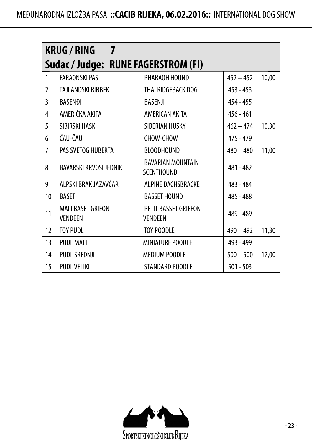|                | <b>KRUG / RING</b><br>$\overline{7}$  |                                               |             |       |  |
|----------------|---------------------------------------|-----------------------------------------------|-------------|-------|--|
|                | Sudac/Judge: RUNE FAGERSTROM (FI)     |                                               |             |       |  |
| 1              | <b>FARAONSKI PAS</b>                  | PHARAOH HOUND                                 | $452 - 452$ | 10,00 |  |
| $\mathfrak{p}$ | TAJLANDSKI RIĐBEK                     | THAI RIDGEBACK DOG                            | $453 - 453$ |       |  |
| 3              | <b>BASENĐI</b>                        | <b>BASENJI</b>                                | $454 - 455$ |       |  |
| 4              | AMERIČKA AKITA                        | AMERICAN AKITA                                | $456 - 461$ |       |  |
| 5              | SIBIRSKI HASKI                        | SIBERIAN HUSKY                                | $462 - 474$ | 10,30 |  |
| 6              | ČAU-ČAU                               | CHOW-CHOW                                     | 475 - 479   |       |  |
| 7              | PAS SVETOG HUBERTA                    | <b>BLOODHOUND</b>                             | $480 - 480$ | 11,00 |  |
| 8              | <b>BAVARSKI KRVOSLJEDNIK</b>          | <b>BAVARIAN MOUNTAIN</b><br><b>SCENTHOUND</b> | 481 - 482   |       |  |
| 9              | ALPSKI BRAK JAZAVČAR                  | ALPINE DACHSBRACKE                            | 483 - 484   |       |  |
| 10             | <b>BASET</b>                          | <b>BASSET HOUND</b>                           | 485 - 488   |       |  |
| 11             | MALI BASET GRIFON -<br><b>VENDEEN</b> | PETIT BASSET GRIFFON<br><b>VENDEEN</b>        | 489 - 489   |       |  |
| 12             | <b>TOY PUDL</b>                       | <b>TOY POODLE</b>                             | $490 - 492$ | 11,30 |  |
| 13             | <b>PUDL MALI</b>                      | MINIATURE POODLE                              | 493 - 499   |       |  |
| 14             | PUDL SREDNJI                          | <b>MEDIUM POODLE</b>                          | $500 - 500$ | 12,00 |  |
| 15             | <b>PUDL VELIKI</b>                    | STANDARD POODLE                               | $501 - 503$ |       |  |

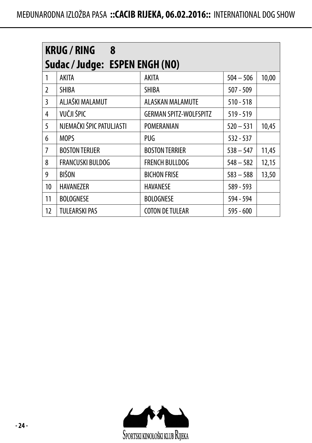|                | <b>KRUG/RING</b><br>8          |                               |             |       |  |  |
|----------------|--------------------------------|-------------------------------|-------------|-------|--|--|
|                | Sudac / Judge: ESPEN ENGH (NO) |                               |             |       |  |  |
| 1              | <b>AKITA</b>                   | AKITA                         | $504 - 506$ | 10,00 |  |  |
| $\mathfrak{p}$ | SHIBA                          | <b>SHIBA</b>                  | $507 - 509$ |       |  |  |
| 3              | ALJAŠKI MALAMUT                | ALASKAN MALAMUTE              | $510 - 518$ |       |  |  |
| 4              | VUČJI ŠPIC                     | <b>GERMAN SPITZ-WOLFSPITZ</b> | $519 - 519$ |       |  |  |
| 5              | NJEMAČKI ŠPIC PATULJASTI       | POMERANIAN                    | $520 - 531$ | 10,45 |  |  |
| 6              | <b>MOPS</b>                    | PUG                           | $532 - 537$ |       |  |  |
| 7              | <b>BOSTON TERIJER</b>          | <b>BOSTON TERRIER</b>         | $538 - 547$ | 11,45 |  |  |
| 8              | <b>FRANCUSKI BULDOG</b>        | <b>FRENCH BULLDOG</b>         | $548 - 582$ | 12,15 |  |  |
| 9              | <b>BIŠON</b>                   | <b>BICHON FRISE</b>           | $583 - 588$ | 13,50 |  |  |
| 10             | <b>HAVANF7FR</b>               | <b>HAVANESE</b>               | 589 - 593   |       |  |  |
| 11             | <b>BOLOGNESE</b>               | <b>BOLOGNESE</b>              | 594 - 594   |       |  |  |
| 12             | <b>TULEARSKI PAS</b>           | <b>COTON DE TULEAR</b>        | 595 - 600   |       |  |  |

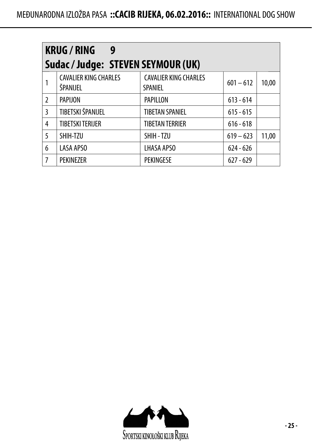|               | <b>KRUG / RING</b><br>9                  |                                                |             |       |
|---------------|------------------------------------------|------------------------------------------------|-------------|-------|
|               | Sudac / Judge: STEVEN SEYMOUR (UK)       |                                                |             |       |
|               | <b>CAVALIER KING CHARLES</b><br>ŠPANIJEL | <b>CAVALIER KING CHARLES</b><br><b>SPANIEL</b> | $601 - 612$ | 10,00 |
| $\mathfrak z$ | <b>PAPIJON</b>                           | PAPILLON                                       | $613 - 614$ |       |
| 3             | TIBETSKI ŠPANIJEL                        | <b>TIBETAN SPANIEL</b>                         | $615 - 615$ |       |
| 4             | <b>TIBETSKI TERIJER</b>                  | <b>TIBETAN TERRIER</b>                         | $616 - 618$ |       |
| 5             | SHIH-TZU                                 | SHIH - TZU                                     | $619 - 623$ | 11,00 |
| 6             | <b>LASA APSO</b>                         | LHASA APSO                                     | $624 - 626$ |       |
| 7             | <b>PEKINEZER</b>                         | <b>PEKINGESE</b>                               | $627 - 629$ |       |

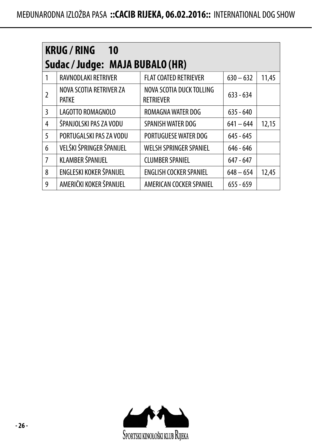|   | <b>KRUG/RING</b><br><b>10</b>           |                                              |             |       |  |
|---|-----------------------------------------|----------------------------------------------|-------------|-------|--|
|   | Sudac / Judge: MAJA BUBALO (HR)         |                                              |             |       |  |
| 1 | RAVNODLAKI RETRIVER                     | <b>FLAT COATED RETRIEVER</b>                 | $630 - 632$ | 11,45 |  |
| 2 | NOVA SCOTIA RETRIVER ZA<br><b>PATKF</b> | NOVA SCOTIA DUCK TOLLING<br><b>RFTRIFVFR</b> | $633 - 634$ |       |  |
| 3 | LAGOTTO ROMAGNOLO                       | ROMAGNA WATER DOG                            | $635 - 640$ |       |  |
| 4 | ŠPANJOLSKI PAS ZA VODU                  | SPANISH WATER DOG                            | $641 - 644$ | 12,15 |  |
| 5 | PORTUGAL SKI PAS ZA VODU                | PORTUGUESE WATER DOG                         | $645 - 645$ |       |  |
| 6 | VELŠKI ŠPRINGER ŠPANIJEL                | <b>WELSH SPRINGER SPANIEL</b>                | $646 - 646$ |       |  |
| 7 | KLAMBER ŠPANIJEL                        | <b>CLUMBER SPANIEL</b>                       | $647 - 647$ |       |  |
| 8 | ENGLESKI KOKER ŠPANIJEL                 | <b>ENGLISH COCKER SPANIEL</b>                | $648 - 654$ | 12,45 |  |
| 9 | AMERIČKI KOKER ŠPANIJEL                 | AMERICAN COCKER SPANIEL                      | $655 - 659$ |       |  |

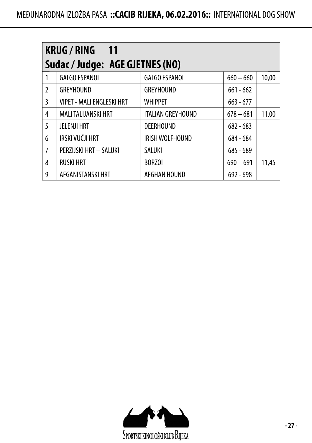|               | <b>KRUG/RING 11</b><br>Sudac / Judge: AGE GJETNES (NO) |                          |             |       |  |  |
|---------------|--------------------------------------------------------|--------------------------|-------------|-------|--|--|
| 1             | <b>GALGO ESPANOL</b>                                   | <b>GALGO ESPANOL</b>     | $660 - 660$ | 10,00 |  |  |
| $\mathcal{L}$ | <b>GREYHOUND</b>                                       | <b>GREYHOUND</b>         | $661 - 662$ |       |  |  |
| 3             | <b>VIPET - MALI ENGLESKI HRT</b>                       | <b>WHIPPET</b>           | $663 - 677$ |       |  |  |
| 4             | <b>MALITALIJANSKI HRT</b>                              | <b>ITALIAN GREYHOUND</b> | $678 - 681$ | 11,00 |  |  |
| 5             | <b>JELENJI HRT</b>                                     | <b>DEERHOUND</b>         | $682 - 683$ |       |  |  |
| 6             | IRSKI VUČJI HRT                                        | IRISH WOLFHOUND          | 684 - 684   |       |  |  |
| 7             | PERZIJSKI HRT - SALUKI                                 | SALUKI                   | $685 - 689$ |       |  |  |
| 8             | <b>RUSKI HRT</b>                                       | <b>BORZOI</b>            | $690 - 691$ | 11,45 |  |  |
| 9             | AFGANISTANSKI HRT                                      | AFGHAN HOUND             | $692 - 698$ |       |  |  |

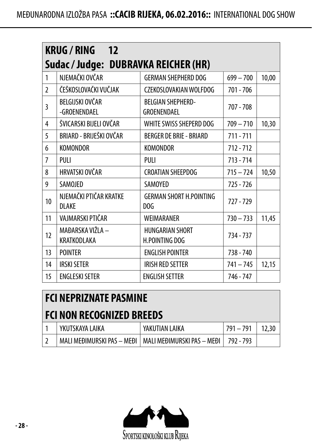|                | <b>KRUG/RING 12</b>                    |                                          |             |       |  |
|----------------|----------------------------------------|------------------------------------------|-------------|-------|--|
|                | Sudac / Judge: DUBRAVKA REICHER (HR)   |                                          |             |       |  |
| 1              | NJEMAČKI OVČAR                         | <b>GERMAN SHEPHERD DOG</b>               | $699 - 700$ | 10,00 |  |
| $\overline{2}$ | ČEŠKOSLOVAČKI VUČJAK                   | CZEKOSLOVAKIAN WOLFDOG                   | $701 - 706$ |       |  |
| 3              | BELGIJSKI OVČAR<br>-GROENENDAEL        | BELGIAN SHEPHERD-<br>GROENENDAEL         | $707 - 708$ |       |  |
| 4              | ŠVICARSKI BIJELI OVČAR                 | WHITE SWISS SHEPERD DOG                  | $709 - 710$ | 10,30 |  |
| 5              | BRIARD - BRIJEŠKI OVČAR                | <b>BERGER DE BRIE - BRIARD</b>           | $711 - 711$ |       |  |
| 6              | <b>KOMONDOR</b>                        | <b>KOMONDOR</b>                          | $712 - 712$ |       |  |
| 7              | PUI I                                  | PULI                                     | $713 - 714$ |       |  |
| 8              | HRVATSKI OVČAR                         | <b>CROATIAN SHEEPDOG</b>                 | $715 - 724$ | 10,50 |  |
| 9              | SAMOJED                                | <b>SAMOYED</b>                           | $725 - 726$ |       |  |
| 10             | NJEMAČKI PTIČAR KRATKE<br><b>DLAKE</b> | <b>GERMAN SHORT H.POINTING</b><br>DOG    | 727 - 729   |       |  |
| 11             | VAJMARSKI PTIČAR                       | <b>WFIMARANFR</b>                        | $730 - 733$ | 11,45 |  |
| 12             | MAĐARSKA VIŽLA –<br>KRATKODLAKA        | <b>HUNGARIAN SHORT</b><br>H.POINTING DOG | 734 - 737   |       |  |
| 13             | <b>POINTER</b>                         | <b>ENGLISH POINTER</b>                   | 738 - 740   |       |  |
| 14             | <b>IRSKI SETER</b>                     | <b>IRISH RED SETTER</b>                  | $741 - 745$ | 12,15 |  |
| 15             | <b>ENGLESKI SETER</b>                  | <b>ENGLISH SETTER</b>                    | 746 - 747   |       |  |

#### **FCI NEPRIZNATE PASMINE**

#### **FCI NON RECOGNIZED BREEDS**

| YKUTSKAYA I AIKA | YAKUTIAN LAIKA                                          | $791 - 791$ |  |
|------------------|---------------------------------------------------------|-------------|--|
|                  | MALLMEÐIMURSKI PAS – MEÐI Í MALLMEÐIMURSKI PAS – MEÐI Í | 792 - 793   |  |